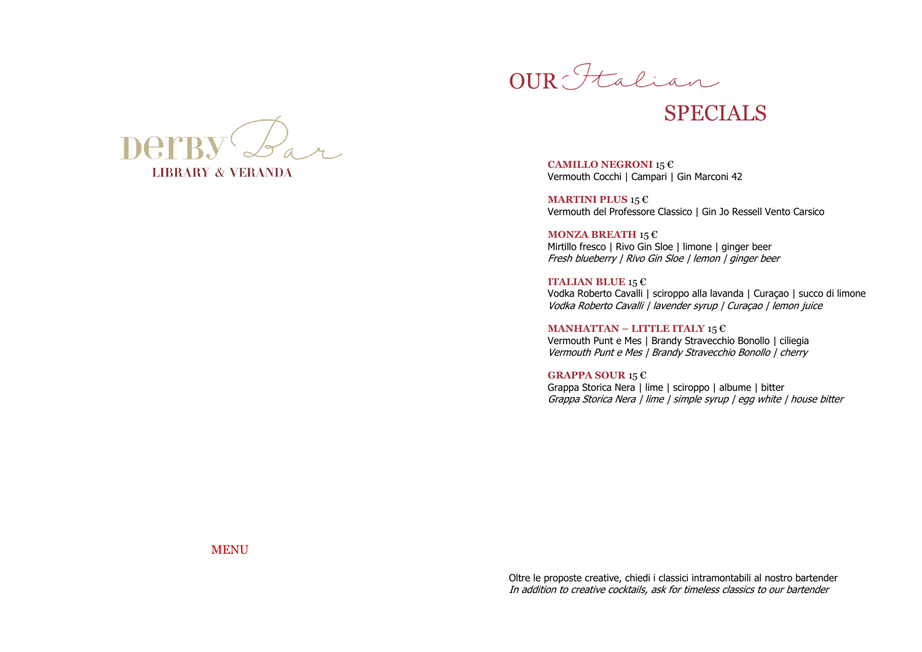



### SPECIALS

**CAMILLO NEGRONI** 15 € Vermouth Cocchi | Campari | Gin Marconi 42

**MARTINI PLUS** 15 € Vermouth del Professore Classico | Gin Jo Ressell Vento Carsico

**MONZA BREATH** 15 € Mirtillo fresco | Rivo Gin Sloe | limone | ginger beer Fresh blueberry | Rivo Gin Sloe | lemon | ginger beer

**ITALIAN BLUE** 15 € Vodka Roberto Cavalli | sciroppo alla lavanda | Curaçao | succo di limone Vodka Roberto Cavalli | lavender syrup | Curaçao | lemon juice

**MANHATTAN – LITTLE ITALY** 15 € Vermouth Punt e Mes | Brandy Stravecchio Bonollo | ciliegia Vermouth Punt e Mes | Brandy Stravecchio Bonollo | cherry

**GRAPPA SOUR** 15 € Grappa Storica Nera | lime | sciroppo | albume | bitter Grappa Storica Nera | lime | simple syrup | egg white | house bitter

**MENU** 

Oltre le proposte creative, chiedi i classici intramontabili al nostro bartender In addition to creative cocktails, ask for timeless classics to our bartender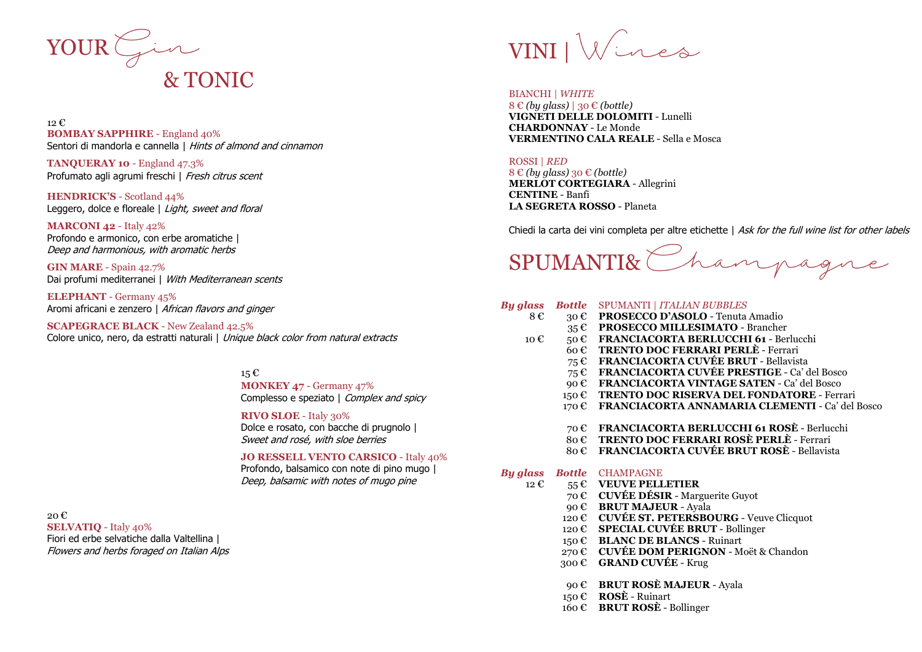

#### 12 € **BOMBAY SAPPHIRE** - England 40% Sentori di mandorla e cannella | Hints of almond and cinnamon

**TANQUERAY 10** - England 47.3% Profumato agli agrumi freschi | Fresh citrus scent

**HENDRICK'S** - Scotland 44% Leggero, dolce e floreale | Light, sweet and floral

**MARCONI 42** - Italy 42% Profondo e armonico, con erbe aromatiche | Deep and harmonious, with aromatic herbs

**GIN MARE** - Spain 42.7% Dai profumi mediterranei | With Mediterranean scents

**ELEPHANT** - Germany 45% Aromi africani e zenzero | African flavors and ginger

**SCAPEGRACE BLACK** - New Zealand 42.5% Colore unico, nero, da estratti naturali | Unique black color from natural extracts

#### 15 € **MONKEY 47** - Germany 47% Complesso e speziato | Complex and spicy

#### **RIVO SLOE** - Italy 30%

Dolce e rosato, con bacche di prugnolo | Sweet and rosé, with sloe berries

#### **JO RESSELL VENTO CARSICO** - Italy 40%

Profondo, balsamico con note di pino mugo | Deep, balsamic with notes of mugo pine

20 € **SELVATIQ** - Italy 40% Fiori ed erbe selvatiche dalla Valtellina | Flowers and herbs foraged on Italian Alps

# VINI |

#### BIANCHI | *WHITE*

8 € *(by glass)* | 30 € *(bottle)* **VIGNETI DELLE DOLOMITI** - Lunelli **CHARDONNAY** - Le Monde **VERMENTINO CALA REALE** - Sella e Mosca

#### ROSSI | *RED*

8 € *(by glass)* 30 € *(bottle)* **MERLOT CORTEGIARA** - Allegrini **CENTINE** - Banfi **LA SEGRETA ROSSO** - Planeta

Chiedi la carta dei vini completa per altre etichette | Ask for the full wine list for other labels

SPUMANTI& Champagn

#### *By glass Bottle* SPUMANTI | *ITALIAN BUBBLES*

- 8 € 30 € **PROSECCO D'ASOLO**  Tenuta Amadio
	- 35 € **PROSECCO MILLESIMATO**  Brancher
- 10 € 50 € **FRANCIACORTA BERLUCCHI 61**  Berlucchi
	- 60 € **TRENTO DOC FERRARI PERLÈ** Ferrari
	- 75 € **FRANCIACORTA CUVÉE BRUT**  Bellavista
	- 75 € **FRANCIACORTA CUVÉE PRESTIGE** Ca' del Bosco
	- 90 € **FRANCIACORTA VINTAGE SATEN** Ca' del Bosco
	- 150 € **TRENTO DOC RISERVA DEL FONDATORE** Ferrari
	- 170 € **FRANCIACORTA ANNAMARIA CLEMENTI**  Ca' del Bosco
		- 70 € **FRANCIACORTA BERLUCCHI 61 ROSÈ**  Berlucchi
		- 80 € **TRENTO DOC FERRARI ROSÈ PERLÈ** Ferrari
		- 80 € **FRANCIACORTA CUVÉE BRUT ROSÈ** Bellavista

#### *By glass Bottle* CHAMPAGNE

- 12 € 55 € **VEUVE PELLETIER**
	- 70 € **CUVÉE DÉSIR** Marguerite Guyot
	- 90 € **BRUT MAJEUR**  Ayala
	- 120 € **CUVÉE ST. PETERSBOURG**  Veuve Clicquot
	- 120 € **SPECIAL CUVÉE BRUT**  Bollinger
	- 150 € **BLANC DE BLANCS** Ruinart
	- 270 € **CUVÉE DOM PERIGNON**  Moët & Chandon
	- 300 € **GRAND CUVÉE**  Krug
	- 90 € **BRUT ROSÈ MAJEUR** Ayala
	- 150 € **ROSÈ**  Ruinart
	- 160 € **BRUT ROSÈ**  Bollinger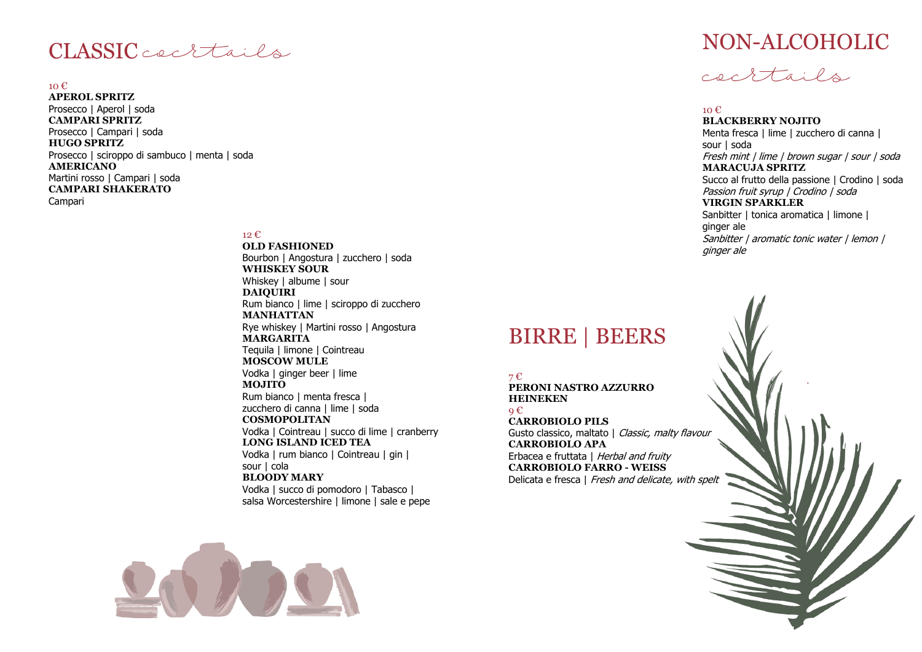### CLASSIC cectails

#### 10 €

**APEROL SPRITZ** Prosecco | Aperol | soda **CAMPARI SPRITZ** Prosecco | Campari | soda **HUGO SPRITZ** Prosecco | sciroppo di sambuco | menta | soda **AMERICANO** Martini rosso | Campari | soda **CAMPARI SHAKERATO** Campari

#### 12 €

**OLD FASHIONED** Bourbon | Angostura | zucchero | soda **WHISKEY SOUR** Whiskey | albume | sour **DAIQUIRI** Rum bianco | lime | sciroppo di zucchero **MANHATTAN** Rye whiskey | Martini rosso | Angostura **MARGARITA** Tequila | limone | Cointreau **MOSCOW MULE** Vodka | ginger beer | lime **MOJITO** Rum bianco | menta fresca | zucchero di canna | lime | soda **COSMOPOLITAN** Vodka | Cointreau | succo di lime | cranberry **LONG ISLAND ICED TEA** Vodka | rum bianco | Cointreau | gin | sour | cola **BLOODY MARY** Vodka | succo di pomodoro | Tabasco | salsa Worcestershire | limone | sale e pepe





#### 10 €

**BLACKBERRY NOJITO** Menta fresca | lime | zucchero di canna | sour | soda Fresh mint | lime | brown sugar | sour | soda **MARACUJA SPRITZ** Succo al frutto della passione | Crodino | soda Passion fruit syrup | Crodino | soda **VIRGIN SPARKLER** Sanbitter | tonica aromatica | limone | ginger ale Sanbitter | aromatic tonic water | lemon | ginger ale

## BIRRE | BEERS

7 € **PERONI NASTRO AZZURRO HEINEKEN**   $Q \in \mathbb{C}$ **CARROBIOLO PILS** Gusto classico, maltato | Classic, malty flavour **CARROBIOLO APA** Erbacea e fruttata | Herbal and fruity **CARROBIOLO FARRO - WEISS** Delicata e fresca | Fresh and delicate, with spelt

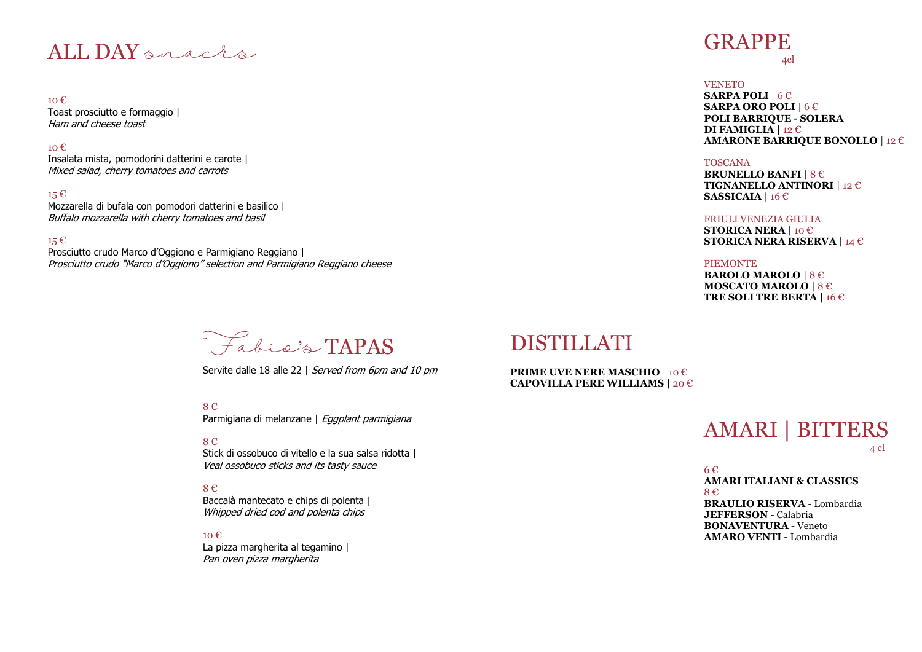### ALL DAY an acts

10 € Toast prosciutto e formaggio | Ham and cheese toast

#### $10 \text{ } \epsilon$

Insalata mista, pomodorini datterini e carote | Mixed salad, cherry tomatoes and carrots

#### 15 €

Mozzarella di bufala con pomodori datterini e basilico | Buffalo mozzarella with cherry tomatoes and basil

15 €

Prosciutto crudo Marco d'Oggiono e Parmigiano Reggiano | Prosciutto crudo "Marco d'Oggiono" selection and Parmigiano Reggiano cheese

## Fabie's TAPAS

Servite dalle 18 alle 22 | Served from 6pm and 10 pm

8 € Parmigiana di melanzane | Egaplant parmigiana

8 € Stick di ossobuco di vitello e la sua salsa ridotta | Veal ossobuco sticks and its tasty sauce

#### 8 € Baccalà mantecato e chips di polenta | Whipped dried cod and polenta chips

10 € La pizza margherita al tegamino | Pan oven pizza margherita

## **GRAPPE**

4cl

#### **VENETO**

**SARPA POLI** | 6 € **SARPA ORO POLI** | 6 € **POLI BARRIQUE - SOLERA DI FAMIGLIA** | 12 € **AMARONE BARRIQUE BONOLLO** | 12 €

#### TOSCANA

**BRUNELLO BANFI** | 8 € **TIGNANELLO ANTINORI** | 12 € **SASSICAIA** | 16 €

#### FRIULI VENEZIA GIULIA

**STORICA NERA** | 10 € **STORICA NERA RISERVA** | 14 €

#### PIEMONTE

**BAROLO MAROLO** | 8 € **MOSCATO MAROLO** | 8 € **TRE SOLI TRE BERTA** | 16 €

### DISTILLATI

**PRIME UVE NERE MASCHIO** | 10 € **CAPOVILLA PERE WILLIAMS** | 20 €

### AMARI | BITTERS  $4 \text{ d}$

6 €

#### **AMARI ITALIANI & CLASSICS** 8 €

**BRAULIO RISERVA** - Lombardia **JEFFERSON** - Calabria **BONAVENTURA** - Veneto **AMARO VENTI** - Lombardia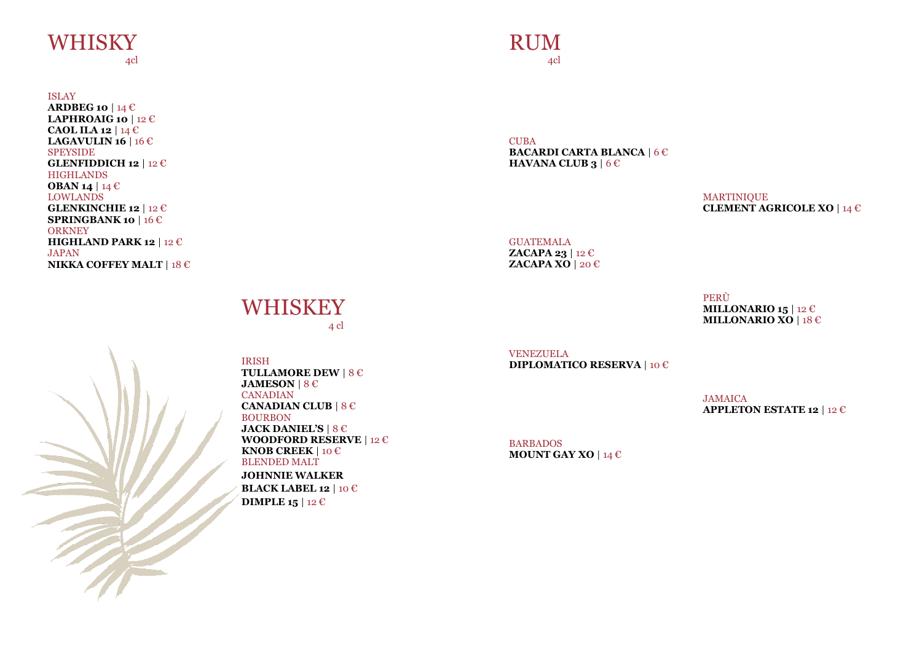## **WHISKY**

4cl

ISLAY

**ARDBEG 10** | 14 € **LAPHROAIG 10** | 12 € **CAOL ILA 12** | 14 € **LAGAVULIN 16** | 16 € **SPEYSIDE GLENFIDDICH 12** | 12 € **HIGHLANDS OBAN 14** | 14 € LOWLANDS **GLENKINCHIE 12** | 12 € **SPRINGBANK 10** | 16 € **ORKNEY HIGHLAND PARK 12** | 12 € JAPAN **NIKKA COFFEY MALT** | 18 €

### RUM4cl

CUBA **BACARDI CARTA BLANCA** | 6 € **HAVANA CLUB 3** | 6 €

> MARTINIQUE **CLEMENT AGRICOLE XO** | 14 €

GUATEMALA **ZACAPA 23** | 12 € **ZACAPA XO** | 20 €

> **MILLONARIO 15** | 12 € **MILLONARIO XO** | 18 €

PERÙ

VENEZUELA **DIPLOMATICO RESERVA** | 10 €

> JAMAICA **APPLETON ESTATE 12** | 12 €

BARBADOS **MOUNT GAY XO** | 14 €

### **WHISKEY** 4 cl



IRISH **TULLAMORE DEW** | 8 € **JAMESON** | 8 € CANADIAN **CANADIAN CLUB** | 8 € BOURBON **JACK DANIEL'S** | 8 € **WOODFORD RESERVE** | 12 € **KNOB CREEK** | 10 € BLENDED MALT **JOHNNIE WALKER BLACK LABEL 12** | 10 € **DIMPLE 15** | 12 €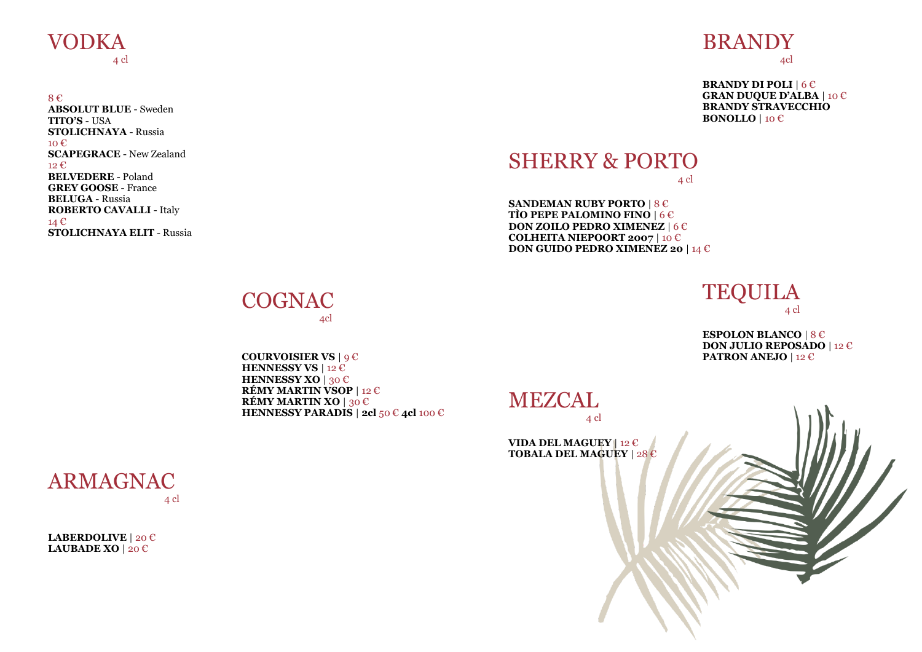### VODKA 4 cl

8 € **ABSOLUT BLUE** - Sweden **TITO'S** - USA **STOLICHNAYA** - Russia  $10 \text{ } \infty$ **SCAPEGRACE** - New Zealand 12 € **BELVEDERE** - Poland **GREY GOOSE** - France **BELUGA** - Russia **ROBERTO CAVALLI** - Italy 14 € **STOLICHNAYA ELIT** - Russia

### BRANDY 4cl

**BRANDY DI POLI** | 6 € **GRAN DUQUE D'ALBA** | 10 € **BRANDY STRAVECCHIO BONOLLO** | 10 €

### SHERRY & PORTO 4 cl

**SANDEMAN RUBY PORTO** | 8 € **TÌO PEPE PALOMINO FINO** | 6 € **DON ZOILO PEDRO XIMENEZ** | 6 € **COLHEITA NIEPOORT 2007** | 10 € **DON GUIDO PEDRO XIMENEZ 20** | 14 €

> **TEQUILA** 4 cl

**ESPOLON BLANCO** | 8 € **DON JULIO REPOSADO** | 12 € **PATRON ANEJO** | 12 €



**COGNAC** 4cl

**COURVOISIER VS** | 9 € **HENNESSY VS** | 12 € **HENNESSY XO** | 30 € **RÉMY MARTIN VSOP** | 12 € **RÉMY MARTIN XO** | 30 € **HENNESSY PARADIS** | **2cl** 50 € **4cl** 100 €

ARMAGNAC 4 cl

**LABERDOLIVE** | 20 € **LAUBADE XO** | 20 €